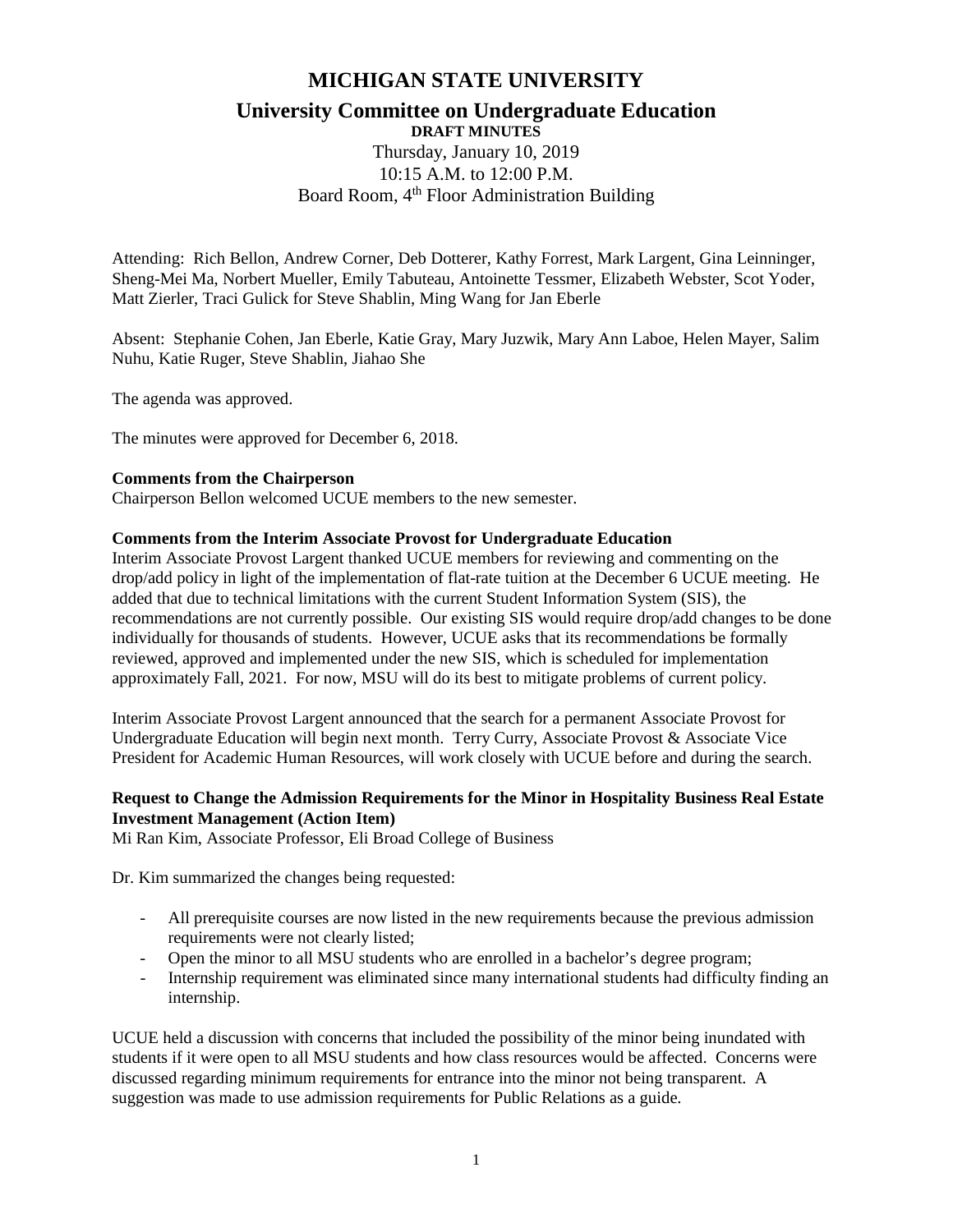# **MICHIGAN STATE UNIVERSITY**

## **University Committee on Undergraduate Education DRAFT MINUTES**

Thursday, January 10, 2019 10:15 A.M. to 12:00 P.M. Board Room, 4<sup>th</sup> Floor Administration Building

Attending: Rich Bellon, Andrew Corner, Deb Dotterer, Kathy Forrest, Mark Largent, Gina Leinninger, Sheng-Mei Ma, Norbert Mueller, Emily Tabuteau, Antoinette Tessmer, Elizabeth Webster, Scot Yoder, Matt Zierler, Traci Gulick for Steve Shablin, Ming Wang for Jan Eberle

Absent: Stephanie Cohen, Jan Eberle, Katie Gray, Mary Juzwik, Mary Ann Laboe, Helen Mayer, Salim Nuhu, Katie Ruger, Steve Shablin, Jiahao She

The agenda was approved.

The minutes were approved for December 6, 2018.

#### **Comments from the Chairperson**

Chairperson Bellon welcomed UCUE members to the new semester.

#### **Comments from the Interim Associate Provost for Undergraduate Education**

Interim Associate Provost Largent thanked UCUE members for reviewing and commenting on the drop/add policy in light of the implementation of flat-rate tuition at the December 6 UCUE meeting. He added that due to technical limitations with the current Student Information System (SIS), the recommendations are not currently possible. Our existing SIS would require drop/add changes to be done individually for thousands of students. However, UCUE asks that its recommendations be formally reviewed, approved and implemented under the new SIS, which is scheduled for implementation approximately Fall, 2021. For now, MSU will do its best to mitigate problems of current policy.

Interim Associate Provost Largent announced that the search for a permanent Associate Provost for Undergraduate Education will begin next month. Terry Curry, Associate Provost & Associate Vice President for Academic Human Resources, will work closely with UCUE before and during the search.

### **Request to Change the Admission Requirements for the Minor in Hospitality Business Real Estate Investment Management (Action Item)**

Mi Ran Kim, Associate Professor, Eli Broad College of Business

Dr. Kim summarized the changes being requested:

- All prerequisite courses are now listed in the new requirements because the previous admission requirements were not clearly listed;
- Open the minor to all MSU students who are enrolled in a bachelor's degree program;
- Internship requirement was eliminated since many international students had difficulty finding an internship.

UCUE held a discussion with concerns that included the possibility of the minor being inundated with students if it were open to all MSU students and how class resources would be affected. Concerns were discussed regarding minimum requirements for entrance into the minor not being transparent. A suggestion was made to use admission requirements for Public Relations as a guide.